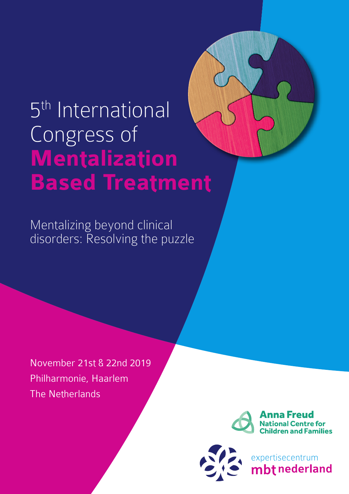# 5<sup>th</sup> International Congress of **Mentalization Based Treatment**

Mentalizing beyond clinical disorders: Resolving the puzzle

November 21st & 22nd 2019 Philharmonie, Haarlem The Netherlands



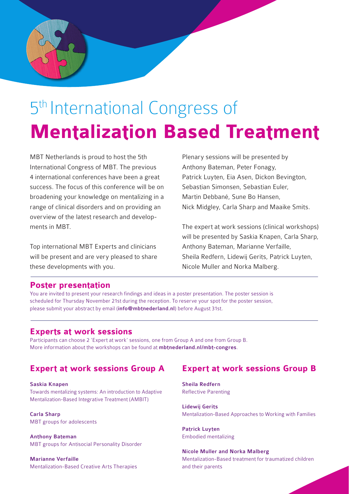

## 5<sup>th</sup> International Congress of **Mentalization Based Treatment**

MBT Netherlands is proud to host the 5th International Congress of MBT. The previous 4 international conferences have been a great success. The focus of this conference will be on broadening your knowledge on mentalizing in a range of clinical disorders and on providing an overview of the latest research and developments in MBT.

Top international MBT Experts and clinicians will be present and are very pleased to share these developments with you.

Plenary sessions will be presented by Anthony Bateman, Peter Fonagy, Patrick Luyten, Eia Asen, Dickon Bevington, Sebastian Simonsen, Sebastian Euler, Martin Debbané, Sune Bo Hansen, Nick Midgley, Carla Sharp and Maaike Smits.

The expert at work sessions (clinical workshops) will be presented by Saskia Knapen, Carla Sharp, Anthony Bateman, Marianne Verfaille, Sheila Redfern, Lidewij Gerits, Patrick Luyten, Nicole Muller and Norka Malberg.

## **Poster presentation**

You are invited to present your research findings and ideas in a poster presentation. The poster session is scheduled for Thursday November 21st during the reception. To reserve your spot for the poster session, please submit your abstract by email (info@mbtnederland.nl) before August 31st.

## **Experts at work sessions**

Participants can choose 2 'Expert at work' sessions, one from Group A and one from Group B. More information about the workshops can be found at mbtnederland.nl/mbt-congres.

## **Expert at work sessions Group A**

Saskia Knapen Towards mentalizing systems: An introduction to Adaptive Mentalization-Based Integrative Treatment (AMBIT)

Carla Sharp MBT groups for adolescents

Anthony Bateman MBT groups for Antisocial Personality Disorder

Marianne Verfaille Mentalization-Based Creative Arts Therapies

## **Expert at work sessions Group B**

Sheila Redfern Reflective Parenting

Lidewij Gerits Mentalization-Based Approaches to Working with Families

Patrick Luyten Embodied mentalizing

Nicole Muller and Norka Malberg Mentalization-Based treatment for traumatized children and their parents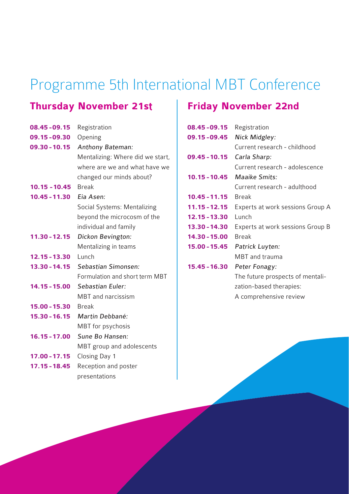## Programme 5th International MBT Conference

## **Thursday November 21st**

| 08.45 - 09.15   | Registration                     |
|-----------------|----------------------------------|
| 09.15 - 09.30   | Opening                          |
| 09.30 - 10.15   | Anthony Bateman:                 |
|                 | Mentalizing: Where did we start, |
|                 | where are we and what have we    |
|                 | changed our minds about?         |
| $10.15 - 10.45$ | <b>Break</b>                     |
| $10.45 - 11.30$ | Eia Asen:                        |
|                 | Social Systems: Mentalizing      |
|                 | beyond the microcosm of the      |
|                 | individual and family            |
| $11.30 - 12.15$ | Dickon Bevington:                |
|                 | Mentalizing in teams             |
| $12.15 - 13.30$ | Lunch                            |
| $13.30 - 14.15$ | Sebastian Simonsen:              |
|                 | Formulation and short term MBT   |
| 14.15 - 15.00   | Sebastian Euler:                 |
|                 | <b>MBT</b> and narcissism        |
| $15.00 - 15.30$ | <b>Break</b>                     |
| $15.30 - 16.15$ | Martin Debbané:                  |
|                 | MBT for psychosis                |
| $16.15 - 17.00$ | Sune Bo Hansen:                  |
|                 | MBT group and adolescents        |
| $17.00 - 17.15$ | Closing Day 1                    |
| 17.15 - 18.45   | Reception and poster             |
|                 | presentations                    |

## **Friday November 22nd**

| 08.45 - 09.15   | Registration                     |
|-----------------|----------------------------------|
| 09.15 - 09.45   | Nick Midgley:                    |
|                 | Current research - childhood     |
| $09.45 - 10.15$ | Carla Sharp:                     |
|                 | Current research - adolescence   |
| $10.15 - 10.45$ | Maaike Smits:                    |
|                 | Current research - adulthood     |
| $10.45 - 11.15$ | <b>Break</b>                     |
| $11.15 - 12.15$ | Experts at work sessions Group A |
| 12.15 - 13.30   | Lunch                            |
| 13.30 - 14.30   | Experts at work sessions Group B |
| 14.30 - 15.00   | <b>Break</b>                     |
| $15.00 - 15.45$ | Patrick Luyten:                  |
|                 | <b>MBT</b> and trauma            |
| $15.45 - 16.30$ | Peter Fonagy:                    |
|                 | The future prospects of mentali- |
|                 | zation-based therapies:          |
|                 | A comprehensive review           |
|                 |                                  |